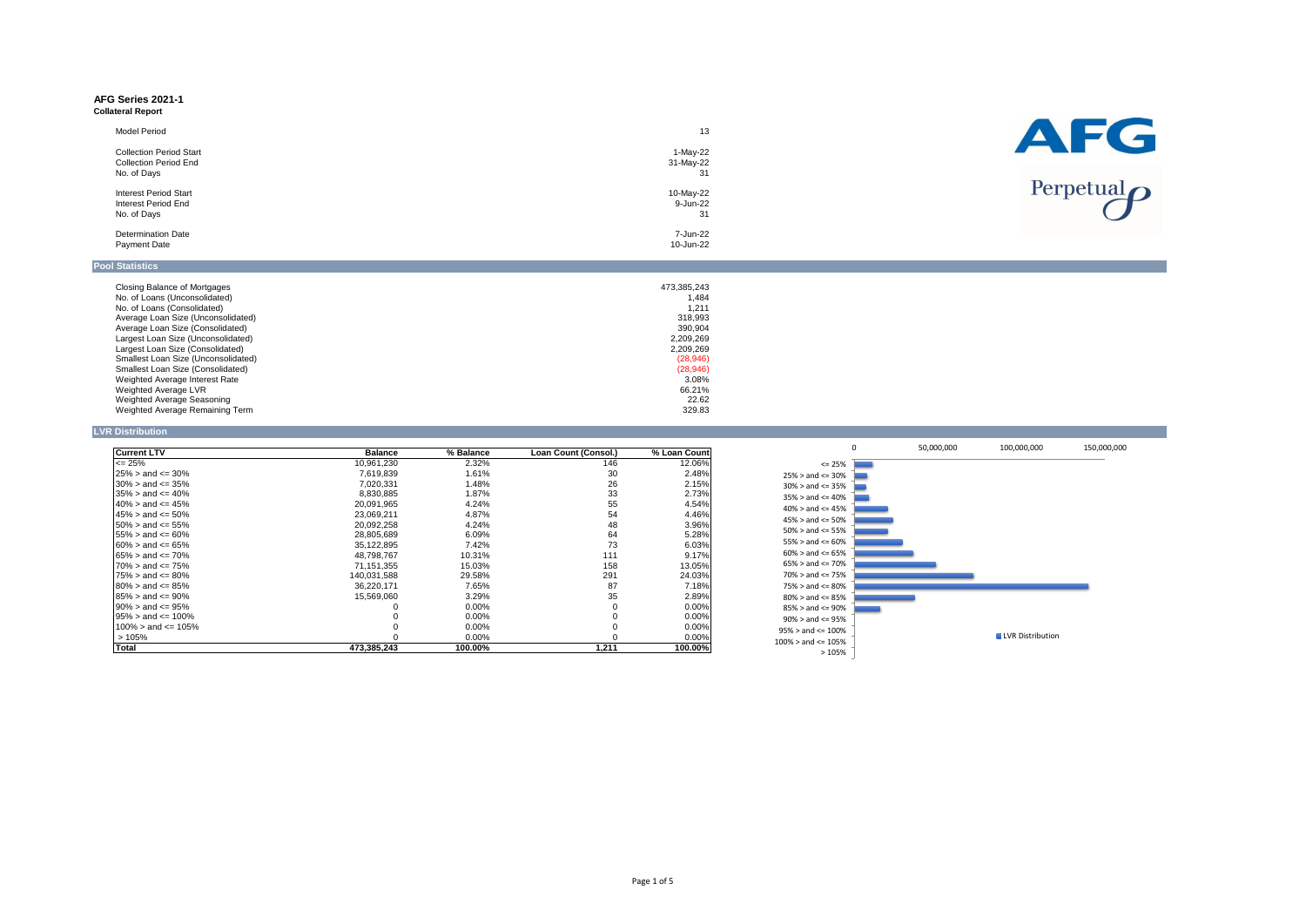#### **AFG Series 2021-1 Collateral Report**

| <b>Model Period</b>            | 13          |
|--------------------------------|-------------|
| <b>Collection Period Start</b> | 1-May-22    |
| <b>Collection Period End</b>   | 31-May-22   |
| No. of Days                    | 31          |
| <b>Interest Period Start</b>   | 10-May-22   |
| <b>Interest Period End</b>     | 9-Jun-22    |
| No. of Days                    | 31          |
| <b>Determination Date</b>      | 7-Jun-22    |
| <b>Payment Date</b>            | 10-Jun-22   |
| <b>Pool Statistics</b>         |             |
| Closing Balance of Mortgages   | 473 385 243 |

| Closing Balance of Mortgages             | 473,385,243 |
|------------------------------------------|-------------|
| No. of Loans (Unconsolidated)            | 1,484       |
| No. of Loans (Consolidated)              | 1,211       |
| Average Loan Size (Unconsolidated)       | 318,993     |
| Average Loan Size (Consolidated)         | 390,904     |
| Largest Loan Size (Unconsolidated)       | 2,209,269   |
| Largest Loan Size (Consolidated)         | 2,209,269   |
| Smallest Loan Size (Unconsolidated)      | (28, 946)   |
| <b>Smallest Loan Size (Consolidated)</b> | (28, 946)   |
| Weighted Average Interest Rate           | 3.08%       |
| Weighted Average LVR                     | 66.21%      |
| Weighted Average Seasoning               | 22.62       |
| Weighted Average Remaining Term          | 329.83      |
|                                          |             |

#### **LVR Distribution**

| <b>Current LTV</b>            | <b>Balance</b> | % Balance | Loan Count (Consol.) | % Loan Count |
|-------------------------------|----------------|-----------|----------------------|--------------|
| $\leq$ 25%                    | 10,961,230     | 2.32%     | 146                  | 12.06%       |
| $25\% >$ and $\leq 30\%$      | 7,619,839      | 1.61%     | 30                   | 2.48%        |
| $30\% >$ and $\leq 35\%$      | 7,020,331      | 1.48%     | 26                   | 2.15%        |
| $135\% >$ and $\leq 40\%$     | 8,830,885      | 1.87%     | 33                   | 2.73%        |
| $140\% >$ and $\leq 45\%$     | 20,091,965     | 4.24%     | 55                   | 4.54%        |
| $145\% >$ and $\leq 50\%$     | 23,069,211     | 4.87%     | 54                   | 4.46%        |
| $150\% > \text{and} <= 55\%$  | 20,092,258     | 4.24%     | 48                   | 3.96%        |
| $155\% > \text{and} <= 60\%$  | 28,805,689     | $6.09\%$  | 64                   | 5.28%        |
| $160\% > \text{and} <= 65\%$  | 35,122,895     | 7.42%     | 73                   | 6.03%        |
| $165\% > \text{and} <= 70\%$  | 48,798,767     | 10.31%    | 111                  | 9.17%        |
| $70\% >$ and $\leq 75\%$      | 71,151,355     | 15.03%    | 158                  | 13.05%       |
| $75\% >$ and $\leq 80\%$      | 140,031,588    | 29.58%    | 291                  | 24.03%       |
| $180\% > \text{and} <= 85\%$  | 36,220,171     | 7.65%     | 87                   | 7.18%        |
| $185\% > \text{and} <= 90\%$  | 15,569,060     | 3.29%     | 35                   | 2.89%        |
| l90% > and <= 95%             | 0              | $0.00\%$  |                      | $0.00\%$     |
| $195\% > \text{and} <= 100\%$ | 0              | $0.00\%$  |                      | $0.00\%$     |
| $100\% >$ and $\leq 105\%$    | 0              | $0.00\%$  |                      | 0.00%        |
| >105%                         | $\Omega$       | $0.00\%$  |                      | $0.00\%$     |
| <b>Total</b>                  | 473,385,243    | 100.00%   | 1,211                | 100.00%      |



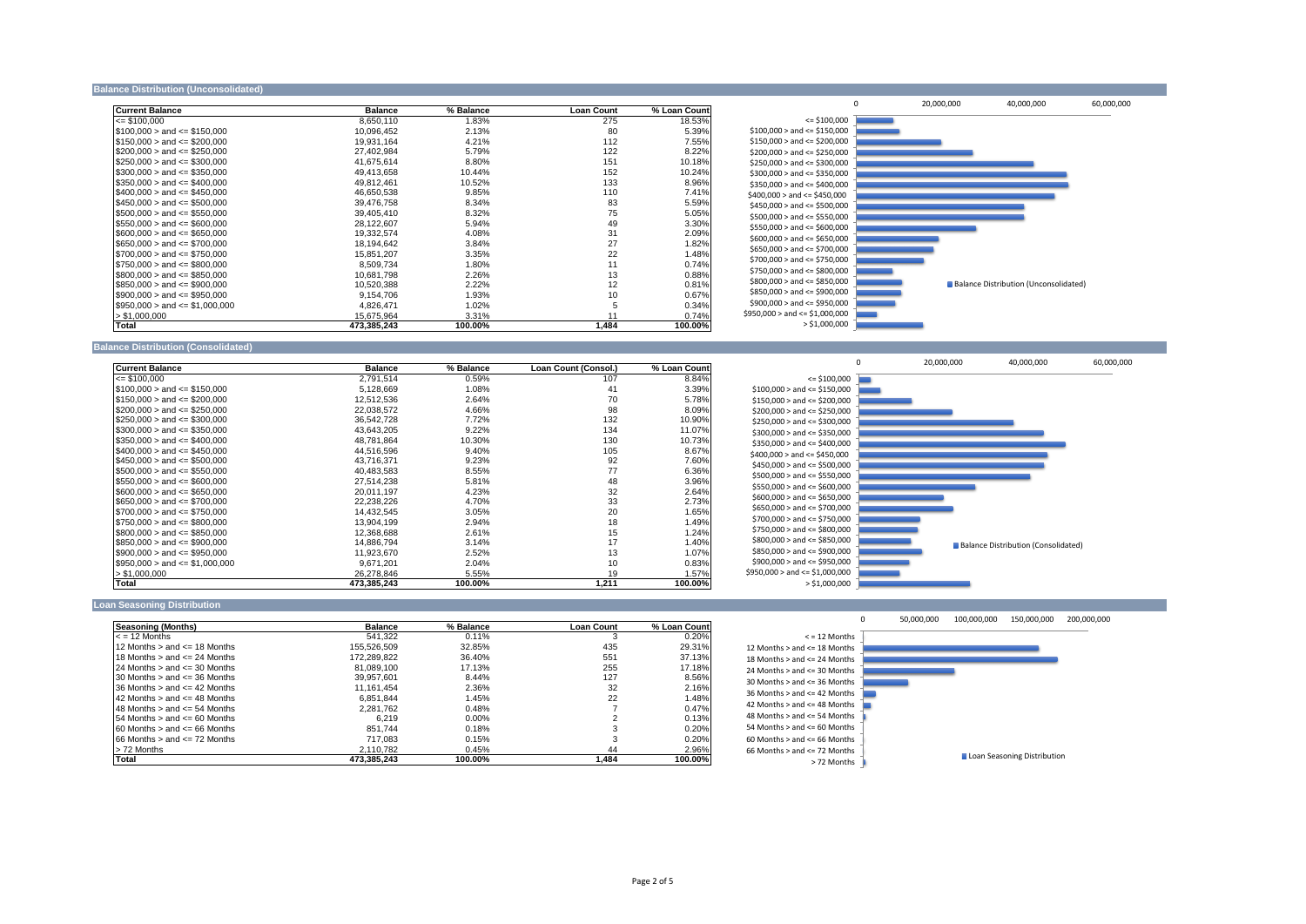#### **Balance Distribution (Unconsolidated)**

| <b>Current Balance</b>             | <b>Balance</b> | % Balance | <b>Loan Count</b> | % Loan Count |         |
|------------------------------------|----------------|-----------|-------------------|--------------|---------|
| $\le$ \$100,000                    | 8,650,110      | 1.83%     | 275               | 18.53%       |         |
| $\$100,000>$ and $\leq$ \$150,000  | 10,096,452     | 2.13%     | 80                | 5.39%        | \$100   |
| $\$150,000>$ and $\leq$ \$200,000  | 19,931,164     | 4.21%     | 112               | 7.55%        | \$150   |
| $\$200,000>$ and $\leq$ \$250,000  | 27,402,984     | 5.79%     | 122               | 8.22%        | \$200   |
| $\$250,000>$ and <= $\$300,000$    | 41,675,614     | 8.80%     | 151               | 10.18%       | \$250   |
| $\$300,000>$ and <= \$350,000      | 49,413,658     | 10.44%    | 152               | 10.24%       | \$300   |
| $\$350,000 >$ and $\leq$ \$400,000 | 49,812,461     | 10.52%    | 133               | 8.96%        | \$350   |
| $$400,000 >$ and $\leq $450,000$   | 46,650,538     | 9.85%     | 110               | 7.41%        | \$400,  |
| $\$450,000>$ and $\leq$ \$500,000  | 39,476,758     | 8.34%     | 83                | 5.59%        | \$450   |
| $\$500,000>$ and $\leq$ \$550,000  | 39,405,410     | 8.32%     | 75                | 5.05%        | \$500   |
| $\$550,000>$ and $\leq$ \$600,000  | 28,122,607     | 5.94%     | 49                | 3.30%        | \$550   |
| $ \$600,000>$ and <= \$650,000     | 19,332,574     | 4.08%     | 31                | 2.09%        | \$600   |
| $\$650,000>$ and $\leq$ \$700,000  | 18,194,642     | 3.84%     | 27                | 1.82%        | \$650   |
| $\$700,000>$ and <= $\$750,000$    | 15,851,207     | 3.35%     | 22                | 1.48%        |         |
| $\$750,000>$ and <= \$800,000      | 8,509,734      | 1.80%     | 11                | 0.74%        | \$700   |
| $$800,000 >$ and $\leq$ \$850,000  | 10,681,798     | 2.26%     | 13                | 0.88%        | \$750   |
| $\$850,000>$ and <= \$900,000      | 10,520,388     | 2.22%     | 12                | 0.81%        | \$800   |
| $$900,000 >$ and $\leq$ \$950,000  | 9,154,706      | 1.93%     | 10                | 0.67%        | \$850   |
| $\$950,000>$ and <= \$1,000,000    | 4,826,471      | 1.02%     |                   | 0.34%        | \$900   |
| $>$ \$1,000,000                    | 15,675,964     | 3.31%     |                   | 0.74%        | \$950,0 |
| Total                              | 473,385,243    | 100.00%   | 1,484             | 100.00%      |         |

#### **Balance Distribution (Consolidated)**

| <b>Current Balance</b>                                                                                                                               | <b>Balance</b> | % Balance | Loan Count (Consol.) | % Loan Count |         |
|------------------------------------------------------------------------------------------------------------------------------------------------------|----------------|-----------|----------------------|--------------|---------|
| $\leq$ \$100,000                                                                                                                                     | 2,791,514      | 0.59%     | 107                  | 8.84%        |         |
| $\$100,000>$ and $\leq$ \$150,000                                                                                                                    | 5,128,669      | 1.08%     | 41                   | 3.39%        | \$100   |
| $\$150,000>$ and $\leq$ \$200,000                                                                                                                    | 12,512,536     | 2.64%     | 70                   | 5.78%        | \$15    |
| $\$200,000>$ and $\leq$ \$250,000                                                                                                                    | 22,038,572     | 4.66%     | 98                   | 8.09%        | \$200   |
| $\$250,000>$ and $\leq$ \$300,000                                                                                                                    | 36,542,728     | 7.72%     | 132                  | 10.90%       | \$250   |
| $\$300,000 >$ and $\leq$ \$350,000                                                                                                                   | 43,643,205     | 9.22%     | 134                  | 11.07%       | \$300   |
| $$350,000 >$ and $\leq$ \$400,000                                                                                                                    | 48,781,864     | 10.30%    | 130                  | 10.73%       | \$350   |
| $\$400,000>$ and $\leq$ \$450,000                                                                                                                    | 44,516,596     | 9.40%     | 105                  | 8.67%        | \$400   |
| $\$450,000>$ and $\leq$ \$500,000                                                                                                                    | 43,716,371     | 9.23%     | 92                   | 7.60%        | \$45    |
| $\$500,000>$ and $\leq$ \$550,000                                                                                                                    | 40,483,583     | 8.55%     | 77                   | 6.36%        | \$500   |
| $\$550,000>$ and $\leq$ \$600,000                                                                                                                    | 27,514,238     | 5.81%     | 48                   | 3.96%        |         |
| $\$600,000 >$ and $\leq$ \$650,000                                                                                                                   | 20,011,197     | 4.23%     | 32                   | 2.64%        | \$55    |
| $\$650,000>$ and $\leq$ \$700,000                                                                                                                    | 22,238,226     | 4.70%     | 33                   | 2.73%        | \$60    |
| $\$700,000>$ and $\leq$ \$750,000                                                                                                                    | 14,432,545     | 3.05%     | 20                   | 1.65%        | \$65    |
| $\$750,000>$ and $\leq$ \$800,000                                                                                                                    | 13,904,199     | 2.94%     | 18                   | 1.49%        | \$70    |
| $$800,000 >$ and $\leq$ \$850,000                                                                                                                    | 12,368,688     | 2.61%     | 15                   | 1.24%        | \$75    |
| $$850,000 >$ and $\leq$ \$900,000                                                                                                                    | 14,886,794     | 3.14%     | 17                   | 1.40%        | \$80    |
| $$900,000 >$ and $\leq$ \$950,000                                                                                                                    | 11,923,670     | 2.52%     | 13                   | 1.07%        | \$850   |
| $\textcolor{blue}{\textbf{1}}\textcolor{blue}{\$950,000 >}$ and $\textcolor{red}{\textbf{4}}\textcolor{blue}{=\textbf{1}}\textcolor{blue}{.000,000}$ | 9,671,201      | 2.04%     | 10                   | 0.83%        | \$90    |
| > \$1,000,000                                                                                                                                        | 26,278,846     | 5.55%     | 19                   | 1.57%        | \$950,0 |
| Total                                                                                                                                                | 473,385,243    | 100.00%   | 1,211                | 100.00%      |         |

#### **Loan Seasoning Distribution**

| <b>Seasoning (Months)</b>             | <b>Balance</b> | % Balance | <b>Loan Count</b> | % Loan Count |       |
|---------------------------------------|----------------|-----------|-------------------|--------------|-------|
| $\epsilon$ = 12 Months                | 541.322        | $0.11\%$  |                   | $0.20\%$     |       |
| 12 Months $>$ and $\leq$ 18 Months    | 155.526.509    | 32.85%    | 435               | 29.31%       | 12 Mo |
| $118$ Months $>$ and $\leq$ 24 Months | 172,289,822    | 36.40%    | 551               | 37.13%       | 18 Mo |
| $124$ Months $>$ and $\leq$ 30 Months | 81,089,100     | 17.13%    | 255               | 17.18%       | 24 Mo |
| $130$ Months $>$ and $\leq$ 36 Months | 39.957.601     | 8.44%     | 127               | 8.56%        | 30 Mo |
| $136$ Months $>$ and $\leq$ 42 Months | 11,161,454     | 2.36%     | 32                | 2.16%        |       |
| $142$ Months $>$ and $\leq$ 48 Months | 6,851,844      | .45%      | 22                | ا1.48%       | 36 Mo |
| $148$ Months $>$ and $\leq$ 54 Months | 2,281,762      | 0.48%     |                   | 0.47%        | 42 Mo |
| $154$ Months $>$ and $\leq$ 60 Months | 6.219          | $0.00\%$  |                   | 0.13%        | 48 Mo |
| $160$ Months $>$ and $\leq$ 66 Months | 851.744        | 0.18%     |                   | 0.20%        | 54 Mo |
| $166$ Months $>$ and $\leq$ 72 Months | 717.083        | 0.15%     |                   | 0.20%        | 60 Mo |
| l> 72 Months                          | 2,110,782      | 0.45%     | 44                | 2.96%        | 66 Mo |
| Total                                 | 473,385,243    | 100.00%   | 484, ا            | 100.00%      |       |





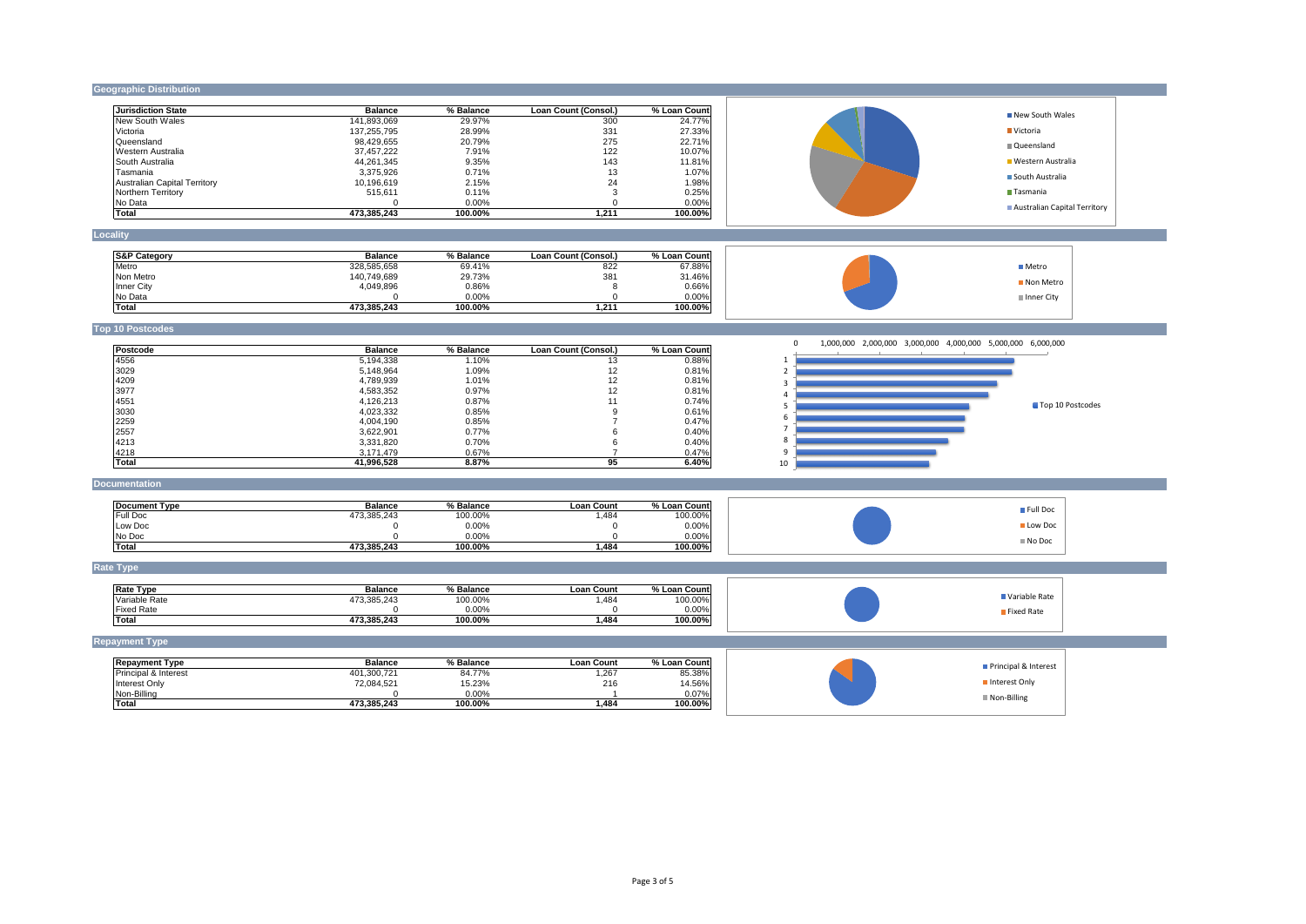## **Geographic Distribution**

| <b>Jurisdiction State</b>    | <b>Balance</b> | % Balance | Loan Count (Consol.) | % Loan Count |
|------------------------------|----------------|-----------|----------------------|--------------|
| New South Wales              | 141,893,069    | 29.97%    | 300                  | 24.77%       |
| Victoria                     | 137,255,795    | 28.99%    | 331                  | 27.33%       |
| <b>I</b> Queensland          | 98,429,655     | 20.79%    | 275                  | 22.71%       |
| IWestern Australia           | 37,457,222     | 7.91%     | 122                  | 10.07%       |
| ISouth Australia             | 44.261.345     | 9.35%     | 143                  | 11.81%       |
| Tasmania                     | 3,375,926      | 0.71%     | 13                   | 1.07%        |
| Australian Capital Territory | 10.196.619     | 2.15%     | 24                   | 1.98%        |
| Northern Territory           | 515.611        | 0.11%     |                      | 0.25%        |
| No Data                      |                | $0.00\%$  |                      | $0.00\%$     |
| Total                        | 473,385,243    | 100.00%   | 1,211                | 100.00%      |

## **Locality**

| <b>S&amp;P Category</b> | <b>Balance</b> | % Balance | Loan Count (Consol.) | % Loan Countl |
|-------------------------|----------------|-----------|----------------------|---------------|
| <b>I</b> Metro          | 328,585,658    | 69.41%    | 822                  | 67.88%        |
| Non Metro               | 140,749,689    | 29.73%    | 381                  | 31.46%        |
| Inner City              | 4,049,896      | 0.86%     |                      | 0.66%         |
| No Data                 |                | $0.00\%$  |                      | $0.00\%$      |
| <b>Total</b>            | 473,385,243    | 100.00%   | .211                 | 100.00%       |

## **Top 10 Postcodes**

| Postcode | <b>Balance</b> | % Balance | Loan Count (Consol.) | % Loan Count |
|----------|----------------|-----------|----------------------|--------------|
| 4556     | 5,194,338      | 1.10%     | 13                   | 0.88%        |
| 3029     | 5,148,964      | 1.09%     | 12                   | 0.81%        |
| 4209     | 4,789,939      | 1.01%     | 12                   | 0.81%        |
| 3977     | 4,583,352      | 0.97%     | 12                   | 0.81%        |
| 4551     | 4,126,213      | 0.87%     | 11                   | 0.74%        |
| 3030     | 4,023,332      | 0.85%     | 9                    | 0.61%        |
| 2259     | 4,004,190      | 0.85%     |                      | 0.47%        |
| 2557     | 3,622,901      | $0.77\%$  | 6                    | 0.40%        |
| 4213     | 3,331,820      | 0.70%     | 6                    | 0.40%        |
| 4218     | 3,171,479      | 0.67%     |                      | 0.47%        |
| Total    | 41,996,528     | 8.87%     | 95                   | 6.40%        |

### **Documentation**

| Document Type   | <b>Balance</b> | % Balance | Loan Count | % Loan Countl |
|-----------------|----------------|-----------|------------|---------------|
| <b>Full Doc</b> | 473,385,243    | 100.00%   | ,484       | 100.00%       |
| Low Doc         |                | $0.00\%$  |            | $0.00\%$      |
| No Doc          |                | $0.00\%$  |            | $0.00\%$      |
| Total           | 473,385,243    | 100.00%   | ,484       | 100.00%       |

## **Rate Type**

| <b>Rate Type</b>  | <b>Balance</b> | % Balance | ∟oan ′<br>Count | %<br>، Loan Count। |
|-------------------|----------------|-----------|-----------------|--------------------|
| lVariable Rate    | 473,385,243    | 100.00%   | ,484            | 100.00%            |
| <b>Fixed Rate</b> |                | 0.00%     |                 | 0.00%              |
| Total             | 473,385,243    | 100.00%   | ,484            | $100.00\%$         |

# **Repayment Type**

| <b>Repayment Type</b>            | <b>Balance</b> | % Balance | Loan Count | % Loan Count |
|----------------------------------|----------------|-----------|------------|--------------|
| <b>IPrincipal &amp; Interest</b> | 401,300,721    | 84.77%    | 1,267      | 85.38%       |
| Interest Only                    | 72,084,521     | 15.23%    | 216        | 14.56%       |
| Non-Billing                      |                | $0.00\%$  |            | 0.07%        |
| Total                            | 473,385,243    | 100.00%   | ,484       | 100.00%      |

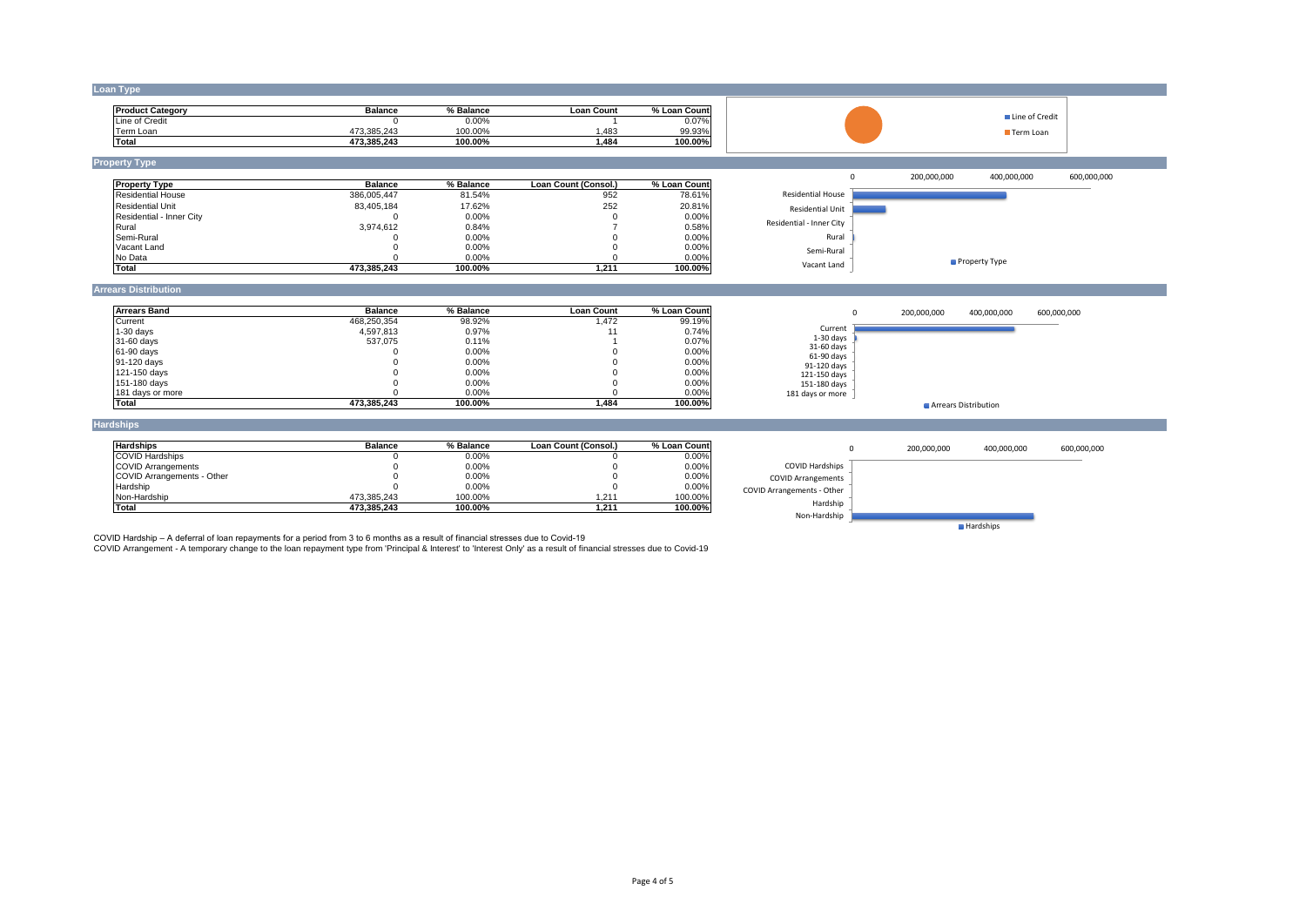### **Loan Type**

| <b>IProduct Category</b> | Balance     | % Balance | Loan Count | % Loan<br>Count! |
|--------------------------|-------------|-----------|------------|------------------|
| Line of Credit           |             | 0.00%     |            | 0.07%            |
| Геrm Loan                | 473,385,243 | 100.00%   | .483       | 99.93%           |
| <b>Total</b>             | 473,385,243 | 100.00%   | ,484       | 100.00%          |

**Property Type**

| <b>Property Type</b>     | <b>Balance</b> | % Balance | Loan Count (Consol.) | % Loan Counti |
|--------------------------|----------------|-----------|----------------------|---------------|
| <b>Residential House</b> | 386,005,447    | 81.54%    | 952                  | 78.61%        |
| <b>IResidential Unit</b> | 83,405,184     | 17.62%    | 252                  | 20.81%        |
| Residential - Inner City |                | 0.00%     |                      | 0.00%         |
| Rural                    | 3,974,612      | 0.84%     |                      | 0.58%         |
| Semi-Rural               |                | 0.00%     |                      | 0.00%         |
| Vacant Land              |                | $0.00\%$  |                      | 0.00%         |
| No Data                  |                | 0.00%     |                      | 0.00%         |
| <b>Total</b>             | 473,385,243    | 100.00%   | 211,ا                | 100.00%       |

#### **Arrears Distribution**

| <b>Arrears Band</b> | <b>Balance</b> | % Balance | <b>Loan Count</b> | % Loan Count |
|---------------------|----------------|-----------|-------------------|--------------|
| Current             | 468,250,354    | 98.92%    | 1,472             | 99.19%       |
| $1-30$ days         | 4,597,813      | 0.97%     |                   | 0.74%        |
| 31-60 days          | 537,075        | 0.11%     |                   | $0.07\%$     |
| 61-90 days          |                | $0.00\%$  |                   | $0.00\%$     |
| 91-120 days         |                | $0.00\%$  |                   | $0.00\%$     |
| 121-150 days        |                | $0.00\%$  |                   | $0.00\%$     |
| 151-180 days        |                | $0.00\%$  |                   | $0.00\%$     |
| 181 days or more    |                | 0.00%     |                   | $0.00\%$     |
| <b>Total</b>        | 473,385,243    | 100.00%   | 484, ا            | 100.00%      |

### **Hardships**

| <b>Hardships</b>                  | <b>Balance</b> | % Balance | Loan Count (Consol.) | % Loan Countl |
|-----------------------------------|----------------|-----------|----------------------|---------------|
| <b>COVID Hardships</b>            |                | 0.00%     |                      | 0.00%         |
| COVID Arrangements                |                | 0.00%     |                      | $0.00\%$      |
| <b>COVID Arrangements - Other</b> |                | 0.00%     |                      | $0.00\%$      |
| Hardship                          |                | 0.00%     |                      | 0.00%         |
| Non-Hardship                      | 473,385,243    | 100.00%   | 1,211                | 100.00%       |
| Total                             | 473,385,243    | 100.00%   | 1.211                | 100.00%       |

COVID Hardship – A deferral of loan repayments for a period from 3 to 6 months as a result of financial stresses due to Covid-19

COVID Arrangement - A temporary change to the loan repayment type from 'Principal & Interest' to 'Interest Only' as a result of financial stresses due to Covid-19